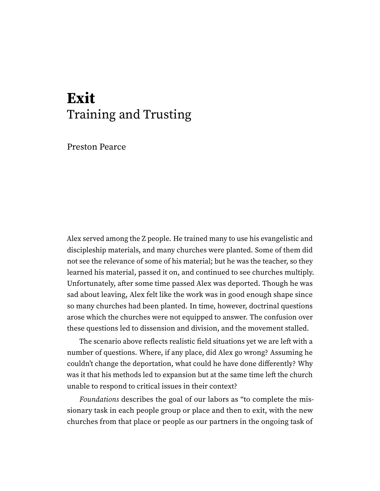# **Exit** Training and Trusting

Preston Pearce

Alex served among the Z people. He trained many to use his evangelistic and discipleship materials, and many churches were planted. Some of them did not see the relevance of some of his material; but he was the teacher, so they learned his material, passed it on, and continued to see churches multiply. Unfortunately, after some time passed Alex was deported. Though he was sad about leaving, Alex felt like the work was in good enough shape since so many churches had been planted. In time, however, doctrinal questions arose which the churches were not equipped to answer. The confusion over these questions led to dissension and division, and the movement stalled.

The scenario above reflects realistic field situations yet we are left with a number of questions. Where, if any place, did Alex go wrong? Assuming he couldn't change the deportation, what could he have done differently? Why was it that his methods led to expansion but at the same time left the church unable to respond to critical issues in their context?

Foundations describes the goal of our labors as "to complete the missionary task in each people group or place and then to exit, with the new churches from that place or people as our partners in the ongoing task of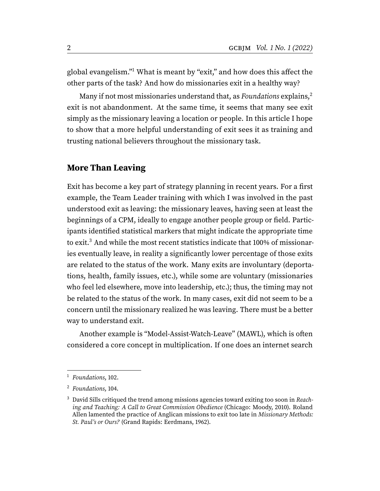<span id="page-1-3"></span>global evangelism."[1](#page-1-0) What is meant by "exit," and how does this affect the other parts of the task? And how do missionaries exit in a healthy way?

<span id="page-1-4"></span>Many if not most missionaries understand that, as *Foundations* explains,<sup>[2](#page-1-1)</sup> exit is not abandonment. At the same time, it seems that many see exit simply as the missionary leaving a location or people. In this article I hope to show that a more helpful understanding of exit sees it as training and trusting national believers throughout the missionary task.

## **More Than Leaving**

<span id="page-1-5"></span>Exit has become a key part of strategy planning in recent years. For a first example, the Team Leader training with which I was involved in the past understood exit as leaving: the missionary leaves, having seen at least the beginnings of a CPM, ideally to engage another people group or field. Participants identified statistical markers that might indicate the appropriate time to exit.<sup>[3](#page-1-2)</sup> And while the most recent statistics indicate that 100% of missionaries eventually leave, in reality a significantly lower percentage of those exits are related to the status of the work. Many exits are involuntary (deportations, health, family issues, etc.), while some are voluntary (missionaries who feel led elsewhere, move into leadership, etc.); thus, the timing may not be related to the status of the work. In many cases, exit did not seem to be a concern until the missionary realized he was leaving. There must be a better way to understand exit.

Another example is "Model-Assist-Watch-Leave" (MAWL), which is often considered a core concept in multiplication. If one does an internet search

<span id="page-1-0"></span><sup>&</sup>lt;sup>[1](#page-1-3)</sup> Foundations, 102.

<span id="page-1-1"></span>[<sup>2</sup>](#page-1-4) Foundations, 104.

<span id="page-1-2"></span><sup>&</sup>lt;sup>[3](#page-1-5)</sup> David Sills critiqued the trend among missions agencies toward exiting too soon in Reaching and Teaching: A Call to Great Commission Obedience (Chicago: Moody, 2010). Roland Allen lamented the practice of Anglican missions to exit too late in Missionary Methods: St. Paul's or Ours? (Grand Rapids: Eerdmans, 1962).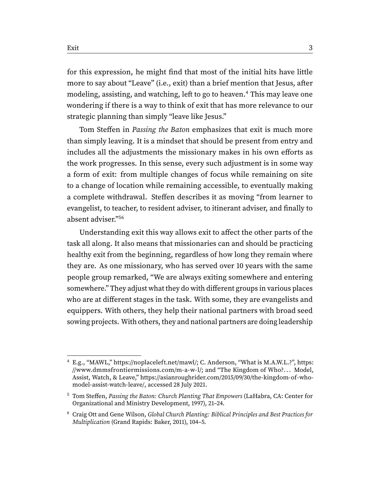<span id="page-2-3"></span>for this expression, he might find that most of the initial hits have little more to say about "Leave" (i.e., exit) than a brief mention that Jesus, after modeling, assisting, and watching, left to go to heaven.<sup>[4](#page-2-0)</sup> This may leave one wondering if there is a way to think of exit that has more relevance to our strategic planning than simply "leave like Jesus."

Tom Steffen in Passing the Baton emphasizes that exit is much more than simply leaving. It is a mindset that should be present from entry and includes all the adjustments the missionary makes in his own efforts as the work progresses. In this sense, every such adjustment is in some way a form of exit: from multiple changes of focus while remaining on site to a change of location while remaining accessible, to eventually making a complete withdrawal. Steffen describes it as moving "from learner to evangelist, to teacher, to resident adviser, to itinerant adviser, and finally to absent adviser."[5](#page-2-1)[6](#page-2-2)

<span id="page-2-5"></span><span id="page-2-4"></span>Understanding exit this way allows exit to affect the other parts of the task all along. It also means that missionaries can and should be practicing healthy exit from the beginning, regardless of how long they remain where they are. As one missionary, who has served over 10 years with the same people group remarked, "We are always exiting somewhere and entering somewhere." They adjust what they do with different groups in various places who are at different stages in the task. With some, they are evangelists and equippers. With others, they help their national partners with broad seed sowing projects. With others, they and national partners are doing leadership

<span id="page-2-0"></span>[<sup>4</sup>](#page-2-3) E.g., "MAWL," [https://noplaceleft.net/mawl/;](https://noplaceleft.net/mawl/) C. Anderson, "What is M.A.W.L.?", [https:](https://www.dmmsfrontiermissions.com/m-a-w-l/) [//www.dmmsfrontiermissions.com/m-a-w-l/;](https://www.dmmsfrontiermissions.com/m-a-w-l/) and "The Kingdom of Who?. . . Model, Assist, Watch, & Leave," [https://asianroughrider.com/2015/09/30/the-kingdom-of-who](https://asianroughrider.com/2015/09/30/the-kingdom-of-who-model-assist-watch-leave/)[model-assist-watch-leave/,](https://asianroughrider.com/2015/09/30/the-kingdom-of-who-model-assist-watch-leave/) accessed 28 July 2021.

<span id="page-2-1"></span>[<sup>5</sup>](#page-2-4) Tom Steffen, Passing the Baton: Church Planting That Empowers (LaHabra, CA: Center for Organizational and Ministry Development, 1997), 21–24.

<span id="page-2-2"></span>[<sup>6</sup>](#page-2-5) Craig Ott and Gene Wilson, Global Church Planting: Biblical Principles and Best Practices for Multiplication (Grand Rapids: Baker, 2011), 104–5.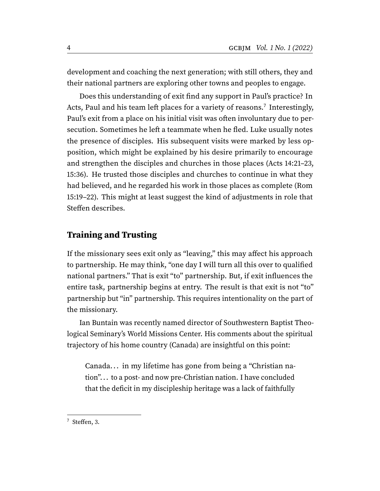development and coaching the next generation; with still others, they and their national partners are exploring other towns and peoples to engage.

<span id="page-3-1"></span>Does this understanding of exit find any support in Paul's practice? In Acts, Paul and his team left places for a variety of reasons.<sup>[7](#page-3-0)</sup> Interestingly, Paul's exit from a place on his initial visit was often involuntary due to persecution. Sometimes he left a teammate when he fled. Luke usually notes the presence of disciples. His subsequent visits were marked by less opposition, which might be explained by his desire primarily to encourage and strengthen the disciples and churches in those places (Acts 14:21–23, 15:36). He trusted those disciples and churches to continue in what they had believed, and he regarded his work in those places as complete (Rom 15:19–22). This might at least suggest the kind of adjustments in role that Steffen describes.

## **Training and Trusting**

If the missionary sees exit only as "leaving," this may affect his approach to partnership. He may think, "one day I will turn all this over to qualified national partners." That is exit "to" partnership. But, if exit influences the entire task, partnership begins at entry. The result is that exit is not "to" partnership but "in" partnership. This requires intentionality on the part of the missionary.

Ian Buntain was recently named director of Southwestern Baptist Theological Seminary's World Missions Center. His comments about the spiritual trajectory of his home country (Canada) are insightful on this point:

Canada. . . in my lifetime has gone from being a "Christian nation". . . to a post- and now pre-Christian nation. I have concluded that the deficit in my discipleship heritage was a lack of faithfully

<span id="page-3-0"></span>[<sup>7</sup>](#page-3-1) Steffen, 3.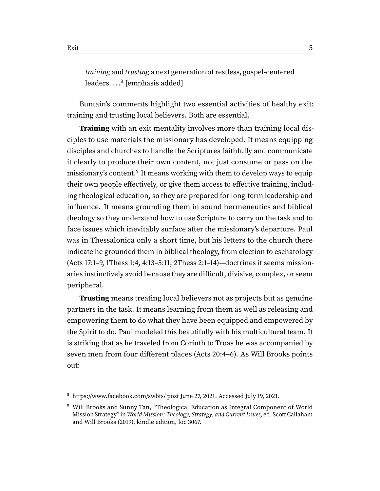<span id="page-4-2"></span>training and trusting a next generation of restless, gospel-centered  ${\rm leaders.} \ldots^8$  ${\rm leaders.} \ldots^8$  [emphasis added]

Buntain's comments highlight two essential activities of healthy exit: training and trusting local believers. Both are essential.

<span id="page-4-3"></span>**Training** with an exit mentality involves more than training local disciples to use materials the missionary has developed. It means equipping disciples and churches to handle the Scriptures faithfully and communicate it clearly to produce their own content, not just consume or pass on the missionary's content.<sup>[9](#page-4-1)</sup> It means working with them to develop ways to equip their own people effectively, or give them access to effective training, including theological education, so they are prepared for long-term leadership and influence. It means grounding them in sound hermeneutics and biblical theology so they understand how to use Scripture to carry on the task and to face issues which inevitably surface after the missionary's departure. Paul was in Thessalonica only a short time, but his letters to the church there indicate he grounded them in biblical theology, from election to eschatology (Acts 17:1–9, 1Thess 1:4, 4:13–5:11, 2Thess 2:1–14)—doctrines it seems missionaries instinctively avoid because they are difficult, divisive, complex, or seem peripheral.

**Trusting** means treating local believers not as projects but as genuine partners in the task. It means learning from them as well as releasing and empowering them to do what they have been equipped and empowered by the Spirit to do. Paul modeled this beautifully with his multicultural team. It is striking that as he traveled from Corinth to Troas he was accompanied by seven men from four different places (Acts 20:4–6). As Will Brooks points out:

<span id="page-4-0"></span>[<sup>8</sup>](#page-4-2) <https://www.facebook.com/swbts/> post June 27, 2021. Accessed July 19, 2021.

<span id="page-4-1"></span>[<sup>9</sup>](#page-4-3) Will Brooks and Sunny Tan, "Theological Education as Integral Component of World Mission Strategy" in World Mission: Theology, Strategy, and Current Issues, ed. Scott Callaham and Will Brooks (2019), kindle edition, loc 3067.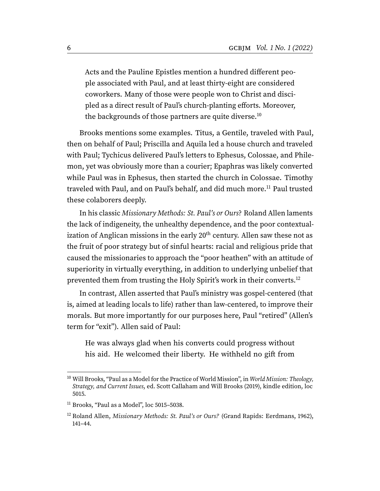<span id="page-5-3"></span>Acts and the Pauline Epistles mention a hundred different people associated with Paul, and at least thirty-eight are considered coworkers. Many of those were people won to Christ and discipled as a direct result of Paul's church-planting efforts. Moreover, the backgrounds of those partners are quite diverse.<sup>[10](#page-5-0)</sup>

Brooks mentions some examples. Titus, a Gentile, traveled with Paul, then on behalf of Paul; Priscilla and Aquila led a house church and traveled with Paul; Tychicus delivered Paul's letters to Ephesus, Colossae, and Philemon, yet was obviously more than a courier; Epaphras was likely converted while Paul was in Ephesus, then started the church in Colossae. Timothy traveled with Paul, and on Paul's behalf, and did much more.<sup>[11](#page-5-1)</sup> Paul trusted these colaborers deeply.

<span id="page-5-4"></span>In his classic Missionary Methods: St. Paul's or Ours? Roland Allen laments the lack of indigeneity, the unhealthy dependence, and the poor contextualization of Anglican missions in the early  $20<sup>th</sup>$  century. Allen saw these not as the fruit of poor strategy but of sinful hearts: racial and religious pride that caused the missionaries to approach the "poor heathen" with an attitude of superiority in virtually everything, in addition to underlying unbelief that prevented them from trusting the Holy Spirit's work in their converts.[12](#page-5-2)

In contrast, Allen asserted that Paul's ministry was gospel-centered (that is, aimed at leading locals to life) rather than law-centered, to improve their morals. But more importantly for our purposes here, Paul "retired" (Allen's term for "exit"). Allen said of Paul:

<span id="page-5-5"></span>He was always glad when his converts could progress without his aid. He welcomed their liberty. He withheld no gift from

<span id="page-5-0"></span> $10$  Will Brooks, "Paul as a Model for the Practice of World Mission", in World Mission: Theology, Strategy, and Current Issues, ed. Scott Callaham and Will Brooks (2019), kindle edition, loc 5015.

<span id="page-5-1"></span><sup>&</sup>lt;sup>[11](#page-5-4)</sup> Brooks, "Paul as a Model", loc 5015-5038.

<span id="page-5-2"></span><sup>&</sup>lt;sup>[12](#page-5-5)</sup> Roland Allen, *Missionary Methods: St. Paul's or Ours?* (Grand Rapids: Eerdmans, 1962), 141–44.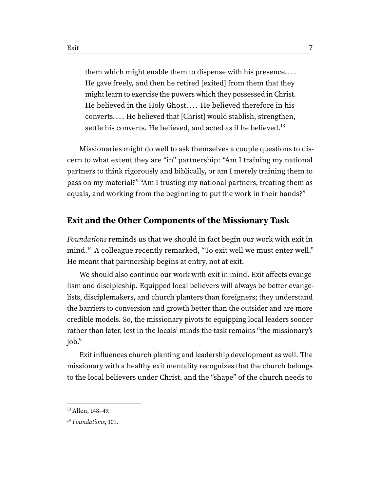<span id="page-6-2"></span>them which might enable them to dispense with his presence. . . . He gave freely, and then he retired [exited] from them that they might learn to exercise the powers which they possessed in Christ. He believed in the Holy Ghost.... He believed therefore in his converts. . . . He believed that [Christ] would stablish, strengthen, settle his converts. He believed, and acted as if he believed.<sup>[13](#page-6-0)</sup>

Missionaries might do well to ask themselves a couple questions to discern to what extent they are "in" partnership: "Am I training my national partners to think rigorously and biblically, or am I merely training them to pass on my material?" "Am I trusting my national partners, treating them as equals, and working from the beginning to put the work in their hands?"

#### **Exit and the Other Components of the Missionary Task**

<span id="page-6-3"></span>Foundations reminds us that we should in fact begin our work with exit in mind.<sup>[14](#page-6-1)</sup> A colleague recently remarked, "To exit well we must enter well." He meant that partnership begins at entry, not at exit.

We should also continue our work with exit in mind. Exit affects evangelism and discipleship. Equipped local believers will always be better evangelists, disciplemakers, and church planters than foreigners; they understand the barriers to conversion and growth better than the outsider and are more credible models. So, the missionary pivots to equipping local leaders sooner rather than later, lest in the locals' minds the task remains "the missionary's job."

Exit influences church planting and leadership development as well. The missionary with a healthy exit mentality recognizes that the church belongs to the local believers under Christ, and the "shape" of the church needs to

<span id="page-6-0"></span>[<sup>13</sup>](#page-6-2) Allen, 148–49.

<span id="page-6-1"></span><sup>&</sup>lt;sup>[14](#page-6-3)</sup> Foundations, 101.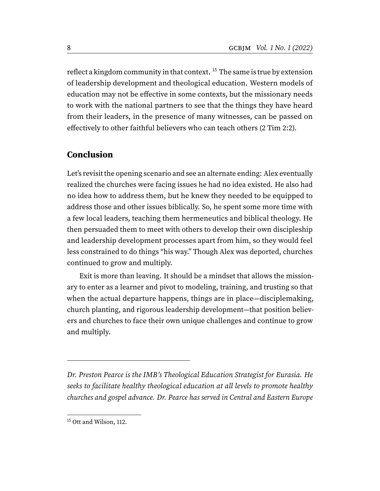<span id="page-7-1"></span>reflect a kingdom community in that context.<sup>[15](#page-7-0)</sup> The same is true by extension of leadership development and theological education. Western models of education may not be effective in some contexts, but the missionary needs to work with the national partners to see that the things they have heard from their leaders, in the presence of many witnesses, can be passed on effectively to other faithful believers who can teach others (2 Tim 2:2).

#### **Conclusion**

Let's revisit the opening scenario and see an alternate ending: Alex eventually realized the churches were facing issues he had no idea existed. He also had no idea how to address them, but he knew they needed to be equipped to address those and other issues biblically. So, he spent some more time with a few local leaders, teaching them hermeneutics and biblical theology. He then persuaded them to meet with others to develop their own discipleship and leadership development processes apart from him, so they would feel less constrained to do things "his way." Though Alex was deported, churches continued to grow and multiply.

Exit is more than leaving. It should be a mindset that allows the missionary to enter as a learner and pivot to modeling, training, and trusting so that when the actual departure happens, things are in place—disciplemaking, church planting, and rigorous leadership development—that position believers and churches to face their own unique challenges and continue to grow and multiply.

Dr. Preston Pearce is the IMB's Theological Education Strategist for Eurasia. He seeks to facilitate healthy theological education at all levels to promote healthy churches and gospel advance. Dr. Pearce has served in Central and Eastern Europe

<span id="page-7-0"></span><sup>&</sup>lt;sup>[15](#page-7-1)</sup> Ott and Wilson, 112.